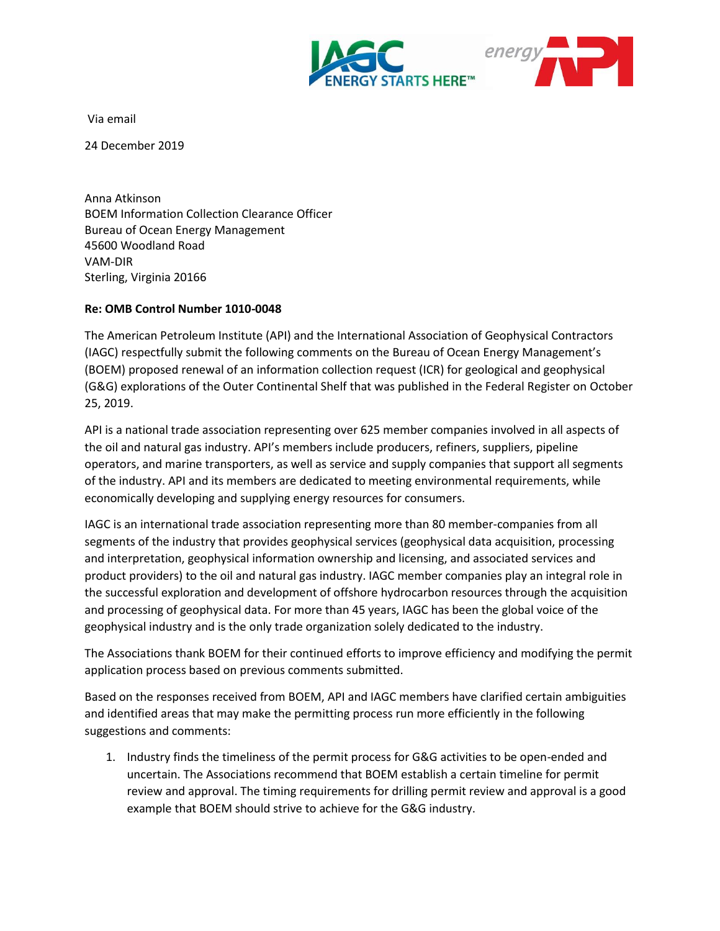



Via email

24 December 2019

Anna Atkinson BOEM Information Collection Clearance Officer Bureau of Ocean Energy Management 45600 Woodland Road VAM-DIR Sterling, Virginia 20166

## **Re: OMB Control Number 1010-0048**

The American Petroleum Institute (API) and the International Association of Geophysical Contractors (IAGC) respectfully submit the following comments on the Bureau of Ocean Energy Management's (BOEM) proposed renewal of an information collection request (ICR) for geological and geophysical (G&G) explorations of the Outer Continental Shelf that was published in the Federal Register on October 25, 2019.

API is a national trade association representing over 625 member companies involved in all aspects of the oil and natural gas industry. API's members include producers, refiners, suppliers, pipeline operators, and marine transporters, as well as service and supply companies that support all segments of the industry. API and its members are dedicated to meeting environmental requirements, while economically developing and supplying energy resources for consumers.

IAGC is an international trade association representing more than 80 member-companies from all segments of the industry that provides geophysical services (geophysical data acquisition, processing and interpretation, geophysical information ownership and licensing, and associated services and product providers) to the oil and natural gas industry. IAGC member companies play an integral role in the successful exploration and development of offshore hydrocarbon resources through the acquisition and processing of geophysical data. For more than 45 years, IAGC has been the global voice of the geophysical industry and is the only trade organization solely dedicated to the industry.

The Associations thank BOEM for their continued efforts to improve efficiency and modifying the permit application process based on previous comments submitted.

Based on the responses received from BOEM, API and IAGC members have clarified certain ambiguities and identified areas that may make the permitting process run more efficiently in the following suggestions and comments:

1. Industry finds the timeliness of the permit process for G&G activities to be open-ended and uncertain. The Associations recommend that BOEM establish a certain timeline for permit review and approval. The timing requirements for drilling permit review and approval is a good example that BOEM should strive to achieve for the G&G industry.